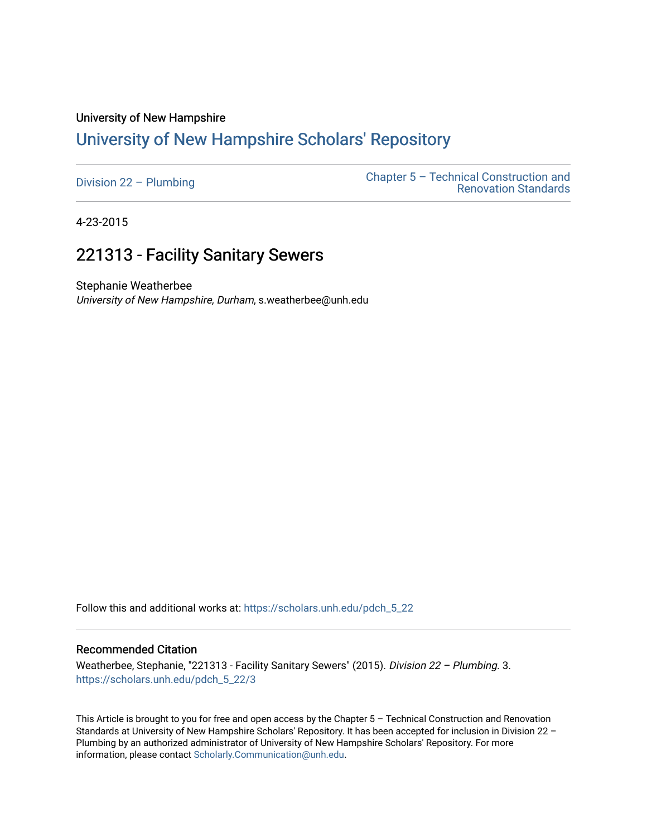#### University of New Hampshire

# [University of New Hampshire Scholars' Repository](https://scholars.unh.edu/)

| Division $22 -$ Plumbing | Chapter $5 -$ Technical Construction and<br><b>Renovation Standards</b> |
|--------------------------|-------------------------------------------------------------------------|
|                          |                                                                         |

4-23-2015

# 221313 - Facility Sanitary Sewers

Stephanie Weatherbee University of New Hampshire, Durham, s.weatherbee@unh.edu

Follow this and additional works at: [https://scholars.unh.edu/pdch\\_5\\_22](https://scholars.unh.edu/pdch_5_22?utm_source=scholars.unh.edu%2Fpdch_5_22%2F3&utm_medium=PDF&utm_campaign=PDFCoverPages) 

#### Recommended Citation

Weatherbee, Stephanie, "221313 - Facility Sanitary Sewers" (2015). Division 22 - Plumbing. 3. [https://scholars.unh.edu/pdch\\_5\\_22/3](https://scholars.unh.edu/pdch_5_22/3?utm_source=scholars.unh.edu%2Fpdch_5_22%2F3&utm_medium=PDF&utm_campaign=PDFCoverPages)

This Article is brought to you for free and open access by the Chapter 5 – Technical Construction and Renovation Standards at University of New Hampshire Scholars' Repository. It has been accepted for inclusion in Division 22 – Plumbing by an authorized administrator of University of New Hampshire Scholars' Repository. For more information, please contact [Scholarly.Communication@unh.edu.](mailto:Scholarly.Communication@unh.edu)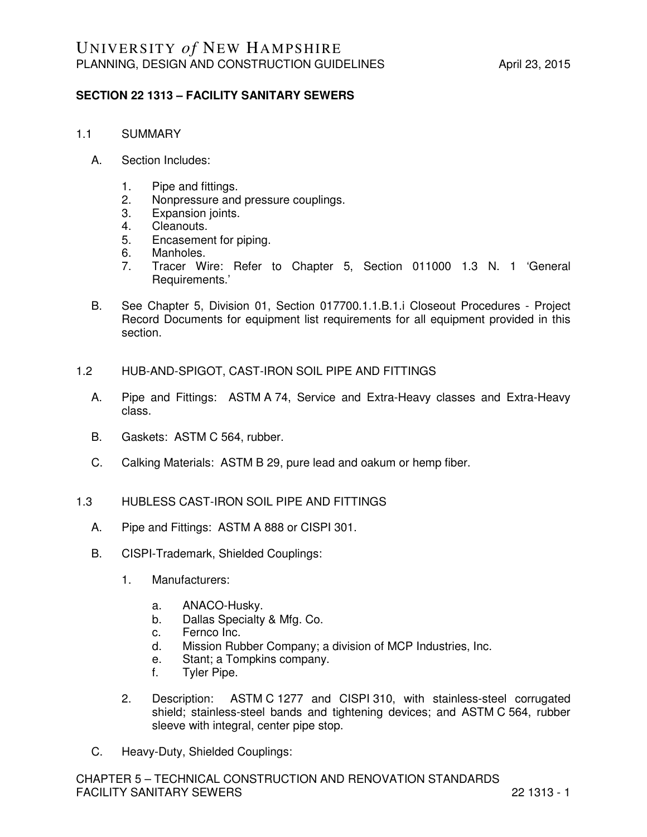### **SECTION 22 1313 – FACILITY SANITARY SEWERS**

- 1.1 SUMMARY
	- A. Section Includes:
		- 1. Pipe and fittings.
		- 2. Nonpressure and pressure couplings.
		- 3. Expansion joints.
		- 4. Cleanouts.
		- 5. Encasement for piping.
		- 6. Manholes.
		- 7. Tracer Wire: Refer to Chapter 5, Section 011000 1.3 N. 1 'General Requirements.'
	- B. See Chapter 5, Division 01, Section 017700.1.1.B.1.i Closeout Procedures Project Record Documents for equipment list requirements for all equipment provided in this section.
- 1.2 HUB-AND-SPIGOT, CAST-IRON SOIL PIPE AND FITTINGS
	- A. Pipe and Fittings: ASTM A 74, Service and Extra-Heavy classes and Extra-Heavy class.
	- B. Gaskets: ASTM C 564, rubber.
	- C. Calking Materials: ASTM B 29, pure lead and oakum or hemp fiber.
- 1.3 HUBLESS CAST-IRON SOIL PIPE AND FITTINGS
	- A. Pipe and Fittings: ASTM A 888 or CISPI 301.
	- B. CISPI-Trademark, Shielded Couplings:
		- 1. Manufacturers:
			- a. ANACO-Husky.
			- b. Dallas Specialty & Mfg. Co.
			- c. Fernco Inc.
			- d. Mission Rubber Company; a division of MCP Industries, Inc.
			- e. Stant; a Tompkins company.
			- f. Tyler Pipe.
		- 2. Description: ASTM C 1277 and CISPI 310, with stainless-steel corrugated shield; stainless-steel bands and tightening devices; and ASTM C 564, rubber sleeve with integral, center pipe stop.
	- C. Heavy-Duty, Shielded Couplings: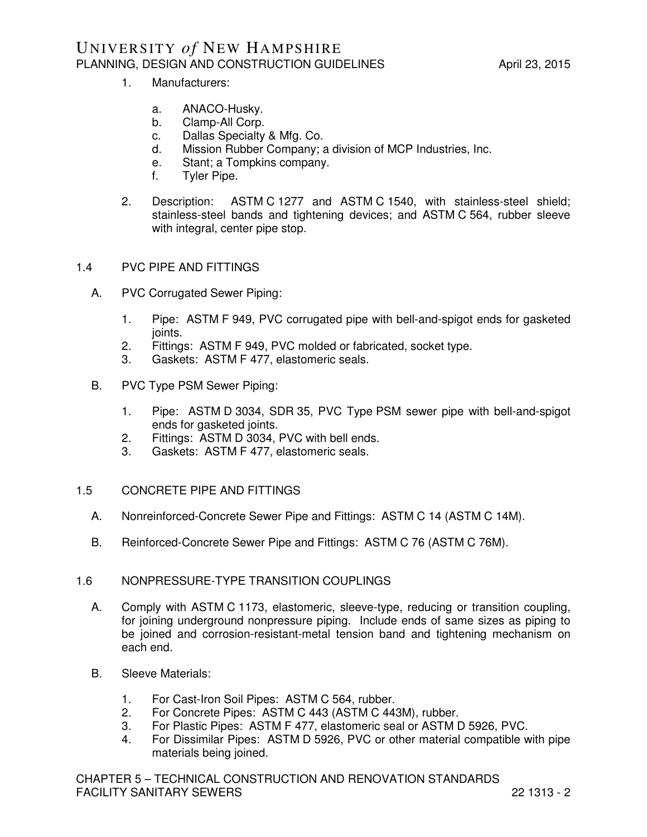- 1. Manufacturers:
	- a. ANACO-Husky.
	- b. Clamp-All Corp.
	- c. Dallas Specialty & Mfg. Co.
	- d. Mission Rubber Company; a division of MCP Industries, Inc.
	- e. Stant; a Tompkins company.
	- f. Tyler Pipe.
- 2. Description: ASTM C 1277 and ASTM C 1540, with stainless-steel shield; stainless-steel bands and tightening devices; and ASTM C 564, rubber sleeve with integral, center pipe stop.

#### 1.4 PVC PIPE AND FITTINGS

- A. PVC Corrugated Sewer Piping:
	- 1. Pipe: ASTM F 949, PVC corrugated pipe with bell-and-spigot ends for gasketed joints.
	- 2. Fittings: ASTM F 949, PVC molded or fabricated, socket type.
	- 3. Gaskets: ASTM F 477, elastomeric seals.
- B. PVC Type PSM Sewer Piping:
	- 1. Pipe: ASTM D 3034, SDR 35, PVC Type PSM sewer pipe with bell-and-spigot ends for gasketed joints.
	- 2. Fittings: ASTM D 3034, PVC with bell ends.
	- 3. Gaskets: ASTM F 477, elastomeric seals.
- 1.5 CONCRETE PIPE AND FITTINGS
	- A. Nonreinforced-Concrete Sewer Pipe and Fittings: ASTM C 14 (ASTM C 14M).
	- B. Reinforced-Concrete Sewer Pipe and Fittings: ASTM C 76 (ASTM C 76M).

#### 1.6 NONPRESSURE-TYPE TRANSITION COUPLINGS

- A. Comply with ASTM C 1173, elastomeric, sleeve-type, reducing or transition coupling, for joining underground nonpressure piping. Include ends of same sizes as piping to be joined and corrosion-resistant-metal tension band and tightening mechanism on each end.
- B. Sleeve Materials:
	- 1. For Cast-Iron Soil Pipes: ASTM C 564, rubber.
	- 2. For Concrete Pipes: ASTM C 443 (ASTM C 443M), rubber.
	- 3. For Plastic Pipes: ASTM F 477, elastomeric seal or ASTM D 5926, PVC.
	- 4. For Dissimilar Pipes: ASTM D 5926, PVC or other material compatible with pipe materials being joined.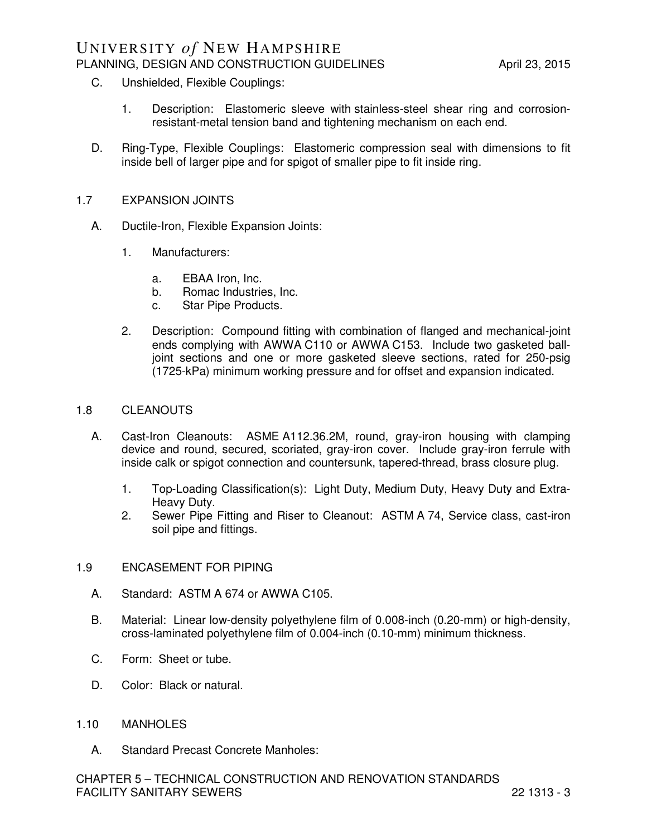## UNIVERSITY *of* NEW HAMPSHIRE PLANNING, DESIGN AND CONSTRUCTION GUIDELINES April 23, 2015

- C. Unshielded, Flexible Couplings:
	- 1. Description: Elastomeric sleeve with stainless-steel shear ring and corrosionresistant-metal tension band and tightening mechanism on each end.
- D. Ring-Type, Flexible Couplings: Elastomeric compression seal with dimensions to fit inside bell of larger pipe and for spigot of smaller pipe to fit inside ring.

#### 1.7 EXPANSION JOINTS

- A. Ductile-Iron, Flexible Expansion Joints:
	- 1. Manufacturers:
		- a. EBAA Iron, Inc.
		- b. Romac Industries, Inc.
		- c. Star Pipe Products.
	- 2. Description: Compound fitting with combination of flanged and mechanical-joint ends complying with AWWA C110 or AWWA C153. Include two gasketed balljoint sections and one or more gasketed sleeve sections, rated for 250-psig (1725-kPa) minimum working pressure and for offset and expansion indicated.

#### 1.8 CLEANOUTS

- A. Cast-Iron Cleanouts: ASME A112.36.2M, round, gray-iron housing with clamping device and round, secured, scoriated, gray-iron cover. Include gray-iron ferrule with inside calk or spigot connection and countersunk, tapered-thread, brass closure plug.
	- 1. Top-Loading Classification(s): Light Duty, Medium Duty, Heavy Duty and Extra-Heavy Duty.
	- 2. Sewer Pipe Fitting and Riser to Cleanout: ASTM A 74, Service class, cast-iron soil pipe and fittings.

#### 1.9 ENCASEMENT FOR PIPING

- A. Standard: ASTM A 674 or AWWA C105.
- B. Material: Linear low-density polyethylene film of 0.008-inch (0.20-mm) or high-density, cross-laminated polyethylene film of 0.004-inch (0.10-mm) minimum thickness.
- C. Form: Sheet or tube.
- D. Color: Black or natural.

#### 1.10 MANHOLES

A. Standard Precast Concrete Manholes: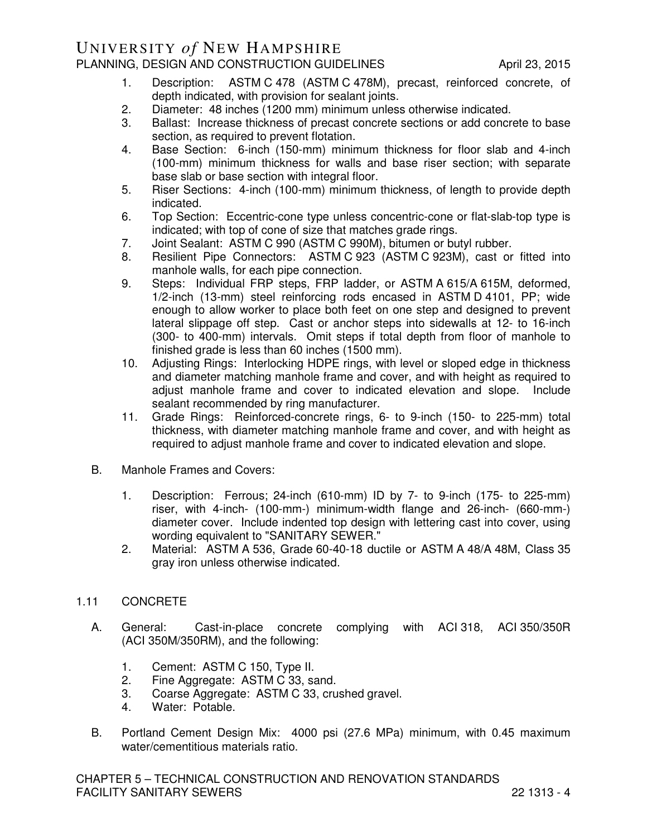## UNIVERSITY *of* NEW HAMPSHIRE PLANNING, DESIGN AND CONSTRUCTION GUIDELINES April 23, 2015

- 1. Description: ASTM C 478 (ASTM C 478M), precast, reinforced concrete, of depth indicated, with provision for sealant joints.
- 2. Diameter: 48 inches (1200 mm) minimum unless otherwise indicated.
- 3. Ballast: Increase thickness of precast concrete sections or add concrete to base section, as required to prevent flotation.
- 4. Base Section: 6-inch (150-mm) minimum thickness for floor slab and 4-inch (100-mm) minimum thickness for walls and base riser section; with separate base slab or base section with integral floor.
- 5. Riser Sections: 4-inch (100-mm) minimum thickness, of length to provide depth indicated.
- 6. Top Section: Eccentric-cone type unless concentric-cone or flat-slab-top type is indicated; with top of cone of size that matches grade rings.
- 7. Joint Sealant: ASTM C 990 (ASTM C 990M), bitumen or butyl rubber.
- 8. Resilient Pipe Connectors: ASTM C 923 (ASTM C 923M), cast or fitted into manhole walls, for each pipe connection.
- 9. Steps: Individual FRP steps, FRP ladder, or ASTM A 615/A 615M, deformed, 1/2-inch (13-mm) steel reinforcing rods encased in ASTM D 4101, PP; wide enough to allow worker to place both feet on one step and designed to prevent lateral slippage off step. Cast or anchor steps into sidewalls at 12- to 16-inch (300- to 400-mm) intervals. Omit steps if total depth from floor of manhole to finished grade is less than 60 inches (1500 mm).
- 10. Adjusting Rings: Interlocking HDPE rings, with level or sloped edge in thickness and diameter matching manhole frame and cover, and with height as required to adjust manhole frame and cover to indicated elevation and slope. Include sealant recommended by ring manufacturer.
- 11. Grade Rings: Reinforced-concrete rings, 6- to 9-inch (150- to 225-mm) total thickness, with diameter matching manhole frame and cover, and with height as required to adjust manhole frame and cover to indicated elevation and slope.
- B. Manhole Frames and Covers:
	- 1. Description: Ferrous; 24-inch (610-mm) ID by 7- to 9-inch (175- to 225-mm) riser, with 4-inch- (100-mm-) minimum-width flange and 26-inch- (660-mm-) diameter cover. Include indented top design with lettering cast into cover, using wording equivalent to "SANITARY SEWER."
	- 2. Material: ASTM A 536, Grade 60-40-18 ductile or ASTM A 48/A 48M, Class 35 gray iron unless otherwise indicated.

### 1.11 CONCRETE

- A. General: Cast-in-place concrete complying with ACI 318, ACI 350/350R (ACI 350M/350RM), and the following:
	- 1. Cement: ASTM C 150, Type II.<br>2. Fine Agaregate: ASTM C 33, sa
	- Fine Aggregate: ASTM C 33, sand.
	- 3. Coarse Aggregate: ASTM C 33, crushed gravel.
	- 4. Water: Potable.
- B. Portland Cement Design Mix: 4000 psi (27.6 MPa) minimum, with 0.45 maximum water/cementitious materials ratio.